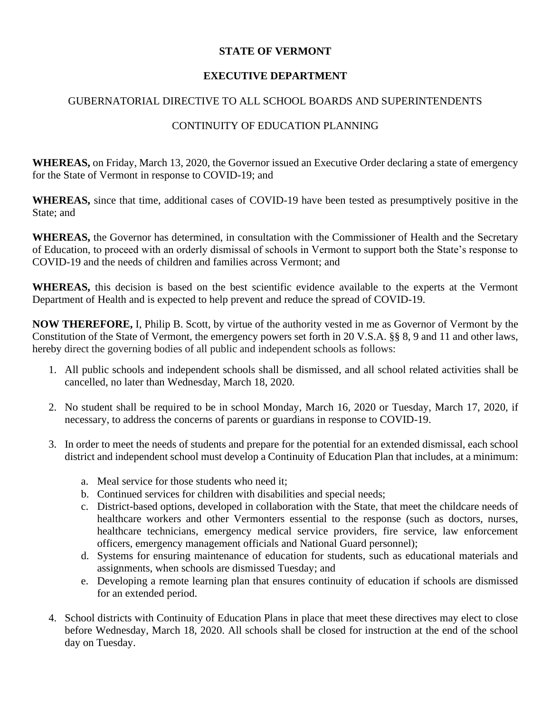## **STATE OF VERMONT**

## **EXECUTIVE DEPARTMENT**

## GUBERNATORIAL DIRECTIVE TO ALL SCHOOL BOARDS AND SUPERINTENDENTS

## CONTINUITY OF EDUCATION PLANNING

**WHEREAS,** on Friday, March 13, 2020, the Governor issued an Executive Order declaring a state of emergency for the State of Vermont in response to COVID-19; and

**WHEREAS,** since that time, additional cases of COVID-19 have been tested as presumptively positive in the State; and

**WHEREAS,** the Governor has determined, in consultation with the Commissioner of Health and the Secretary of Education, to proceed with an orderly dismissal of schools in Vermont to support both the State's response to COVID-19 and the needs of children and families across Vermont; and

**WHEREAS,** this decision is based on the best scientific evidence available to the experts at the Vermont Department of Health and is expected to help prevent and reduce the spread of COVID-19.

**NOW THEREFORE,** I, Philip B. Scott, by virtue of the authority vested in me as Governor of Vermont by the Constitution of the State of Vermont, the emergency powers set forth in 20 V.S.A. §§ 8, 9 and 11 and other laws, hereby direct the governing bodies of all public and independent schools as follows:

- 1. All public schools and independent schools shall be dismissed, and all school related activities shall be cancelled, no later than Wednesday, March 18, 2020.
- 2. No student shall be required to be in school Monday, March 16, 2020 or Tuesday, March 17, 2020, if necessary, to address the concerns of parents or guardians in response to COVID-19.
- 3. In order to meet the needs of students and prepare for the potential for an extended dismissal, each school district and independent school must develop a Continuity of Education Plan that includes, at a minimum:
	- a. Meal service for those students who need it;
	- b. Continued services for children with disabilities and special needs;
	- c. District-based options, developed in collaboration with the State, that meet the childcare needs of healthcare workers and other Vermonters essential to the response (such as doctors, nurses, healthcare technicians, emergency medical service providers, fire service, law enforcement officers, emergency management officials and National Guard personnel);
	- d. Systems for ensuring maintenance of education for students, such as educational materials and assignments, when schools are dismissed Tuesday; and
	- e. Developing a remote learning plan that ensures continuity of education if schools are dismissed for an extended period.
- 4. School districts with Continuity of Education Plans in place that meet these directives may elect to close before Wednesday, March 18, 2020. All schools shall be closed for instruction at the end of the school day on Tuesday.